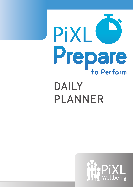

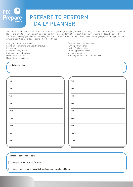

You have learned about the importance of eating the right things, sleeping, relaxing, chunking revision and turning off your phone. Now is the time to prepare yourself each day so that you can perform at your best. Plan your day using the table below. To be 'performance ready' you need to be making the right choices. For each of the activities listed below, give yourself one point - the aim is to get 10 points a day by doing 10 of these things.

Eating an appropriate breakfast Eating an appropriate and healthy snack/s Exercising Eating a healthy lunch Planning chunked revision Having time to relax Having time to socialise

Eating a heathy evening meal Turning off your phone Having 7-8 hours sleep Drinking plenty of water Making a smoothie Planning time to calm yourself down

My daily priorities:

| 6am  | 3 <sub>pm</sub> |
|------|-----------------|
| 7am  | 4pm             |
| 8am  | 5pm             |
| 9am  | 6pm             |
| 10am | 7pm             |
| 11am | 8pm             |
| 12pm | 9pm             |
| 1pm  | 10pm            |
| 2pm  | 11pm            |
|      |                 |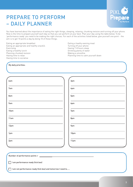

You have learned about the importance of eating the right things, sleeping, relaxing, chunking revision and turning off your phone. Now is the time to prepare yourself each day so that you can perform at your best. Plan your day using the table below. To be 'performance ready' you need to be making the right choices. For each of the activities listed below, give yourself one point - the aim is to get 10 points a day by doing 10 of these things.

Eating an appropriate breakfast Eating an appropriate and healthy snack/s **Exercising** Eating a healthy lunch Planning chunked revision Having time to relax Having time to socialise

Eating a heathy evening meal Turning off your phone Having 7-8 hours sleep Drinking plenty of water Making a smoothie Planning time to calm yourself down

My daily priorities:

| 6am  | 3 <sub>pm</sub>  |
|------|------------------|
| 7am  | 4pm              |
| 8am  | 5pm              |
| 9am  | 6pm              |
| 10am | 7pm              |
| 11am | 8pm              |
| 12pm | 9pm              |
| 1pm  | 10 <sub>pm</sub> |
| 2pm  | 11pm             |
|      |                  |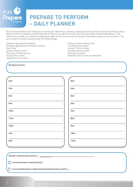

You have learned about the importance of eating the right things, sleeping, relaxing, chunking revision and turning off your phone. Now is the time to prepare yourself each day so that you can perform at your best. Plan your day using the table below. To be 'performance ready' you need to be making the right choices. For each of the activities listed below, give yourself one point - the aim is to get 10 points a day by doing 10 of these things.

Eating an appropriate breakfast Eating an appropriate and healthy snack/s Exercising Eating a healthy lunch Planning chunked revision Having time to relax Having time to socialise

Eating a heathy evening meal Turning off your phone Having 7-8 hours sleep Drinking plenty of water Making a smoothie Planning time to calm yourself down

My daily priorities:

| 6am             | 3 <sub>pm</sub> |  |
|-----------------|-----------------|--|
| 7am             | 4pm             |  |
| 8am             | 5pm             |  |
| 9am             | 6pm             |  |
| 10am            | 7pm             |  |
| 11am            | 8pm             |  |
| 12pm            | 9pm             |  |
| 1pm             | 10pm            |  |
| 2 <sub>pm</sub> | 11pm            |  |
|                 |                 |  |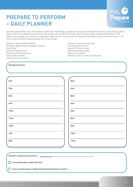

You have learned about the importance of eating the right things, sleeping, relaxing, chunking revision and turning off your phone. Now is the time to prepare yourself each day so that you can perform at your best. Plan your day using the table below. To be 'performance ready' you need to be making the right choices. For each of the activities listed below, give yourself one point - the aim is to get 10 points a day by doing 10 of these things.

Eating an appropriate breakfast Eating an appropriate and healthy snack/s **Exercising** Eating a healthy lunch Planning chunked revision Having time to relax Having time to socialise

Eating a heathy evening meal Turning off your phone Having 7-8 hours sleep Drinking plenty of water Making a smoothie Planning time to calm yourself down

My daily priorities:

| 6am  | 3 <sub>pm</sub>  |
|------|------------------|
| 7am  | 4pm              |
| 8am  | 5pm              |
| 9am  | 6pm              |
| 10am | 7pm              |
| 11am | 8pm              |
| 12pm | 9pm              |
| 1pm  | 10 <sub>pm</sub> |
| 2pm  | 11pm             |
|      |                  |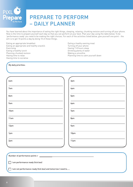

You have learned about the importance of eating the right things, sleeping, relaxing, chunking revision and turning off your phone. Now is the time to prepare yourself each day so that you can perform at your best. Plan your day using the table below. To be 'performance ready' you need to be making the right choices. For each of the activities listed below, give yourself one point - the aim is to get 10 points a day by doing 10 of these things.

Eating an appropriate breakfast Eating an appropriate and healthy snack/s Exercising Eating a healthy lunch Planning chunked revision Having time to relax Having time to socialise

Eating a heathy evening meal Turning off your phone Having 7-8 hours sleep Drinking plenty of water Making a smoothie Planning time to calm yourself down

My daily priorities:

| 6am  | 3 <sub>pm</sub>  |
|------|------------------|
| 7am  | 4pm              |
| 8am  | 5pm              |
| 9am  | 6pm              |
| 10am | 7pm              |
| 11am | 8pm              |
| 12pm | 9pm              |
| 1pm  | 10 <sub>pm</sub> |
| 2pm  | 11pm             |
|      |                  |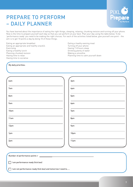

You have learned about the importance of eating the right things, sleeping, relaxing, chunking revision and turning off your phone. Now is the time to prepare yourself each day so that you can perform at your best. Plan your day using the table below. To be 'performance ready' you need to be making the right choices. For each of the activities listed below, give yourself one point - the aim is to get 10 points a day by doing 10 of these things.

Eating an appropriate breakfast Eating an appropriate and healthy snack/s **Exercising** Eating a healthy lunch Planning chunked revision Having time to relax Having time to socialise

Eating a heathy evening meal Turning off your phone Having 7-8 hours sleep Drinking plenty of water Making a smoothie Planning time to calm yourself down

My daily priorities:

| 6am  | 3 <sub>pm</sub>  |
|------|------------------|
| 7am  | 4pm              |
| 8am  | 5pm              |
| 9am  | 6pm              |
| 10am | 7pm              |
| 11am | 8pm              |
| 12pm | 9pm              |
| 1pm  | 10 <sub>pm</sub> |
| 2pm  | 11pm             |
|      |                  |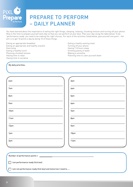

You have learned about the importance of eating the right things, sleeping, relaxing, chunking revision and turning off your phone. Now is the time to prepare yourself each day so that you can perform at your best. Plan your day using the table below. To be 'performance ready' you need to be making the right choices. For each of the activities listed below, give yourself one point - the aim is to get 10 points a day by doing 10 of these things.

Eating an appropriate breakfast Eating an appropriate and healthy snack/s Exercising Eating a healthy lunch Planning chunked revision Having time to relax Having time to socialise

Eating a heathy evening meal Turning off your phone Having 7-8 hours sleep Drinking plenty of water Making a smoothie Planning time to calm yourself down

My daily priorities:

| 6am             | 3 <sub>pm</sub> |  |
|-----------------|-----------------|--|
| 7am             | 4pm             |  |
| 8am             | 5pm             |  |
| 9am             | 6pm             |  |
| 10am            | 7pm             |  |
| 11am            | 8pm             |  |
| 12pm            | 9pm             |  |
| 1pm             | 10pm            |  |
| 2 <sub>pm</sub> | 11pm            |  |
|                 |                 |  |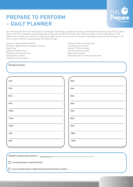

You have learned about the importance of eating the right things, sleeping, relaxing, chunking revision and turning off your phone. Now is the time to prepare yourself each day so that you can perform at your best. Plan your day using the table below. To be 'performance ready' you need to be making the right choices. For each of the activities listed below, give yourself one point - the aim is to get 10 points a day by doing 10 of these things.

Eating an appropriate breakfast Eating an appropriate and healthy snack/s **Exercising** Eating a healthy lunch Planning chunked revision Having time to relax Having time to socialise

Eating a heathy evening meal Turning off your phone Having 7-8 hours sleep Drinking plenty of water Making a smoothie Planning time to calm yourself down

My daily priorities:

| 6am  | 3 <sub>pm</sub>  |
|------|------------------|
| 7am  | 4pm              |
| 8am  | 5pm              |
| 9am  | 6pm              |
| 10am | 7pm              |
| 11am | 8pm              |
| 12pm | 9pm              |
| 1pm  | 10 <sub>pm</sub> |
| 2pm  | 11pm             |
|      |                  |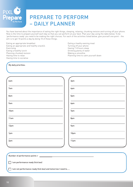

You have learned about the importance of eating the right things, sleeping, relaxing, chunking revision and turning off your phone. Now is the time to prepare yourself each day so that you can perform at your best. Plan your day using the table below. To be 'performance ready' you need to be making the right choices. For each of the activities listed below, give yourself one point - the aim is to get 10 points a day by doing 10 of these things.

Eating an appropriate breakfast Eating an appropriate and healthy snack/s Exercising Eating a healthy lunch Planning chunked revision Having time to relax Having time to socialise

Eating a heathy evening meal Turning off your phone Having 7-8 hours sleep Drinking plenty of water Making a smoothie Planning time to calm yourself down

My daily priorities:

| 6am             | 3 <sub>pm</sub> |  |
|-----------------|-----------------|--|
| 7am             | 4pm             |  |
| 8am             | 5pm             |  |
| 9am             | 6pm             |  |
| 10am            | 7pm             |  |
| 11am            | 8pm             |  |
| 12pm            | 9pm             |  |
| 1pm             | 10pm            |  |
| 2 <sub>pm</sub> | 11pm            |  |
|                 |                 |  |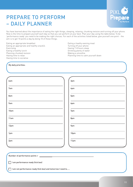

You have learned about the importance of eating the right things, sleeping, relaxing, chunking revision and turning off your phone. Now is the time to prepare yourself each day so that you can perform at your best. Plan your day using the table below. To be 'performance ready' you need to be making the right choices. For each of the activities listed below, give yourself one point - the aim is to get 10 points a day by doing 10 of these things.

Eating an appropriate breakfast Eating an appropriate and healthy snack/s **Exercising** Eating a healthy lunch Planning chunked revision Having time to relax Having time to socialise

Eating a heathy evening meal Turning off your phone Having 7-8 hours sleep Drinking plenty of water Making a smoothie Planning time to calm yourself down

My daily priorities:

| 6am  | 3 <sub>pm</sub> |
|------|-----------------|
| 7am  | 4pm             |
| 8am  | 5pm             |
| 9am  | 6pm             |
| 10am | 7pm             |
| 11am | 8pm             |
| 12pm | 9pm             |
| 1pm  | 10pm            |
| 2pm  | 11pm            |
|      |                 |